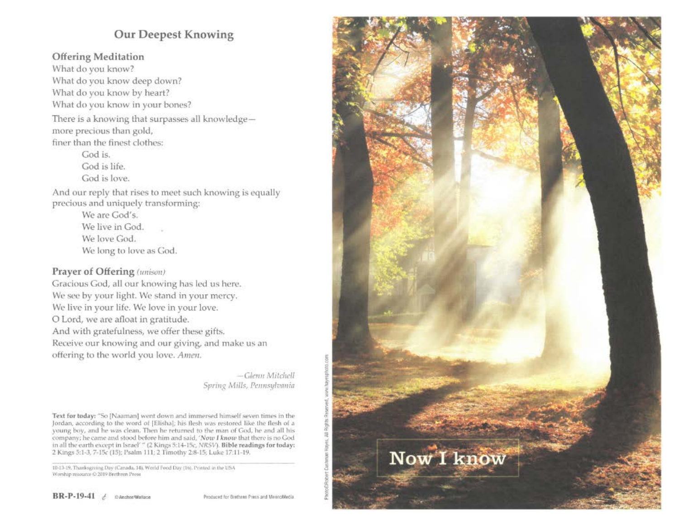# **Our Deepest Knowing**

### **Offering Meditation**

What do you know? What do you know deep down? What do you know by heart? What do you know in your bones?

There is a knowing that surpasses all knowledgemore precious than gold, finer than the finest clothes:

> God is. God is life. God is love.

And our reply that rises to meet such knowing is equally precious and uniquely transforming:

> We are God's. We live in God. We love God. We long to love as God.

# Prayer of Offering (unison)

Gracious God, all our knowing has led us here. We see by your light. We stand in your mercy. We live in your life. We love in your love. O Lord, we are afloat in gratitude. And with gratefulness, we offer these gifts. Receive our knowing and our giving, and make us an offering to the world you love. Amen.

> -Glenn Mitchell Spring Mills, Pennsylvania

Text for today: "So [Naaman] went down and immersed himself seven times in the Jordan, according to the word of [Elisha]; his flesh was restored like the flesh of a young boy, and he was clean. Then he returned to the man of God, he and all his company; he came and stood before him and said, 'Now I know that there is no God in all the earth except in Israel' " (2 Kings 5:14-15c, NRSV). Bible readings for today: 2 Kings 5:1-3, 7-15c (15); Psalm 111; 2 Timothy 2:8-15; Luke 17:11-19.

10-13-19. Thanksgaving Day (Canada, 14), World Food Day (16). Printed in the USA Worship resource @ 2019 Brethren Press

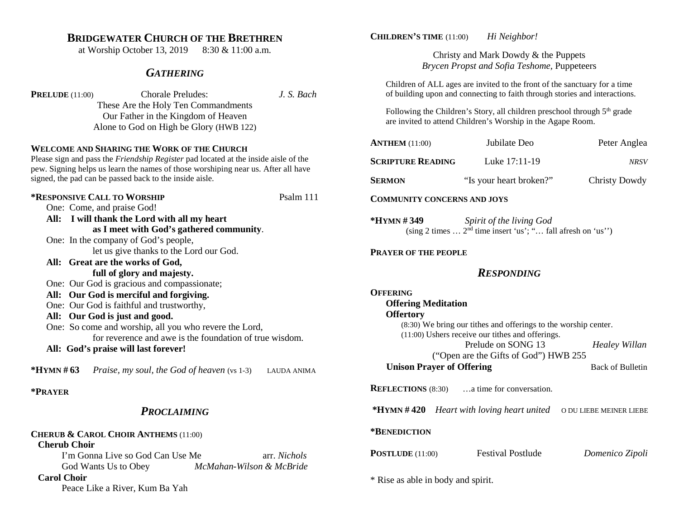# **BRIDGEWATER CHURCH OF THE BRETHREN**

at Worship October 13, 2019 8:30 & 11:00 a.m.

### *GATHERING*

| <b>PRELUDE</b> $(11:00)$ | <b>Chorale Preludes:</b>                | J. S. Bach |
|--------------------------|-----------------------------------------|------------|
|                          | These Are the Holy Ten Commandments     |            |
|                          | Our Father in the Kingdom of Heaven     |            |
|                          | Alone to God on High be Glory (HWB 122) |            |

#### **WELCOME AND SHARING THE WORK OF THE CHURCH**

Please sign and pass the *Friendship Register* pad located at the inside aisle of the pew. Signing helps us learn the names of those worshiping near us. After all have signed, the pad can be passed back to the inside aisle.

**\*RESPONSIVE CALL TO WORSHIP** Psalm 111 One: Come, and praise God! **All: I will thank the Lord with all my heart as I meet with God's gathered community**. One: In the company of God's people, let us give thanks to the Lord our God. **All: Great are the works of God, full of glory and majesty.** One: Our God is gracious and compassionate; **All: Our God is merciful and forgiving.** One: Our God is faithful and trustworthy, **All: Our God is just and good.** One: So come and worship, all you who revere the Lord, for reverence and awe is the foundation of true wisdom. **All: God's praise will last forever!**

**\*HYMN # 63** *Praise, my soul, the God of heaven* (vs 1-3) LAUDA ANIMA

### **\*PRAYER**

# *PROCLAIMING*

#### **CHERUB & CAROL CHOIR ANTHEMS** (11:00)  **Cherub Choir**

I'm Gonna Live so God Can Use Me arr. *Nichols* God Wants Us to Obey *McMahan-Wilson & McBride*

### **Carol Choir**

Peace Like a River, Kum Ba Yah

### **CHILDREN'S TIME** (11:00) *Hi Neighbor!*

Christy and Mark Dowdy & the Puppets *Brycen Propst and Sofia Teshome,* Puppeteers

Children of ALL ages are invited to the front of the sanctuary for a time of building upon and connecting to faith through stories and interactions.

Following the Children's Story, all children preschool through  $5<sup>th</sup>$  grade are invited to attend Children's Worship in the Agape Room.

| <b>ANTHEM</b> $(11:00)$                                                                                                          | Jubilate Deo            | Peter Anglea         |  |  |  |  |
|----------------------------------------------------------------------------------------------------------------------------------|-------------------------|----------------------|--|--|--|--|
| <b>SCRIPTURE READING</b>                                                                                                         | Luke 17:11-19           | <b>NRSV</b>          |  |  |  |  |
| <b>SERMON</b>                                                                                                                    | "Is your heart broken?" | <b>Christy Dowdy</b> |  |  |  |  |
| <b>COMMUNITY CONCERNS AND JOYS</b>                                                                                               |                         |                      |  |  |  |  |
| *HYMN#349<br>Spirit of the living God<br>(sing 2 times $\dots$ 2 <sup>nd</sup> time insert 'us'; " $\dots$ fall afresh on 'us'') |                         |                      |  |  |  |  |
| <b>PRAYER OF THE PEOPLE</b>                                                                                                      |                         |                      |  |  |  |  |
| <b>RESPONDING</b>                                                                                                                |                         |                      |  |  |  |  |
| OFFERING                                                                                                                         |                         |                      |  |  |  |  |
| <b>Offering Meditation</b>                                                                                                       |                         |                      |  |  |  |  |
| <b>Offertory</b>                                                                                                                 |                         |                      |  |  |  |  |
| (8:30) We bring our tithes and offerings to the worship center.                                                                  |                         |                      |  |  |  |  |
| (11:00) Ushers receive our tithes and offerings.                                                                                 |                         |                      |  |  |  |  |
|                                                                                                                                  | Prelude on SONG 13      | Healey Willan        |  |  |  |  |
| ("Open are the Gifts of God") HWB 255                                                                                            |                         |                      |  |  |  |  |
| <b>Unison Prayer of Offering</b>                                                                                                 | <b>Back of Bulletin</b> |                      |  |  |  |  |

**REFLECTIONS** (8:30) ... a time for conversation.

**\*HYMN # 420** *Heart with loving heart united* O DU LIEBE MEINER LIEBE

#### **\*BENEDICTION**

**POSTLUDE** (11:00) Festival Postlude *Domenico Zipoli*

\* Rise as able in body and spirit.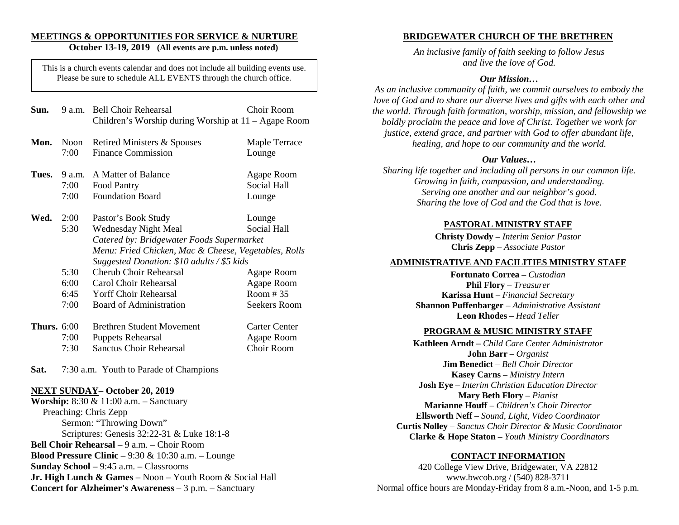### **MEETINGS & OPPORTUNITIES FOR SERVICE & NURTURE**

### **October 13-19, 2019 (All events are p.m. unless noted)**

This is a church events calendar and does not include all building events use. Please be sure to schedule ALL EVENTS through the church office.

| Sun.          | 9 a.m.                 | <b>Bell Choir Rehearsal</b><br>Children's Worship during Worship at 11 – Agape Room             | Choir Room                                       |  |
|---------------|------------------------|-------------------------------------------------------------------------------------------------|--------------------------------------------------|--|
| Mon.          | Noon<br>7:00           | Retired Ministers & Spouses<br><b>Finance Commission</b>                                        | Maple Terrace<br>Lounge                          |  |
| Tues.         | 9 a.m.<br>7:00<br>7:00 | A Matter of Balance<br>Food Pantry<br><b>Foundation Board</b>                                   | Agape Room<br><b>Social Hall</b><br>Lounge       |  |
| Wed.          | 2:00<br>5:30           | Pastor's Book Study<br><b>Wednesday Night Meal</b><br>Catered by: Bridgewater Foods Supermarket | Lounge<br>Social Hall                            |  |
|               |                        | Menu: Fried Chicken, Mac & Cheese, Vegetables, Rolls                                            |                                                  |  |
|               | 5:30                   | Suggested Donation: \$10 adults / \$5 kids<br>Cherub Choir Rehearsal                            | Agape Room                                       |  |
|               | 6:00<br>6:45           | Carol Choir Rehearsal<br><b>Yorff Choir Rehearsal</b>                                           | Agape Room<br>Room #35                           |  |
|               | 7:00                   | Board of Administration                                                                         | <b>Seekers Room</b>                              |  |
| Thurs. $6:00$ | 7:00<br>7:30           | <b>Brethren Student Movement</b><br><b>Puppets Rehearsal</b><br><b>Sanctus Choir Rehearsal</b>  | <b>Carter Center</b><br>Agape Room<br>Choir Room |  |
| Sat.          |                        | 7:30 a.m. Youth to Parade of Champions                                                          |                                                  |  |

#### **NEXT SUNDAY– October 20, 2019**

**Worship:** 8:30 & 11:00 a.m. – Sanctuary Preaching: Chris Zepp Sermon: "Throwing Down" Scriptures: Genesis 32:22-31 & Luke 18:1-8 **Bell Choir Rehearsal** – 9 a.m. – Choir Room **Blood Pressure Clinic** – 9:30 & 10:30 a.m. – Lounge **Sunday School** – 9:45 a.m. – Classrooms **Jr. High Lunch & Games** – Noon – Youth Room & Social Hall **Concert for Alzheimer's Awareness** – 3 p.m. – Sanctuary

#### **BRIDGEWATER CHURCH OF THE BRETHREN**

*An inclusive family of faith seeking to follow Jesus and live the love of God.*

#### *Our Mission…*

*As an inclusive community of faith, we commit ourselves to embody the love of God and to share our diverse lives and gifts with each other and the world. Through faith formation, worship, mission, and fellowship we boldly proclaim the peace and love of Christ. Together we work for justice, extend grace, and partner with God to offer abundant life, healing, and hope to our community and the world.*

#### *Our Values…*

*Sharing life together and including all persons in our common life. Growing in faith, compassion, and understanding. Serving one another and our neighbor's good. Sharing the love of God and the God that is love.*

#### **PASTORAL MINISTRY STAFF**

**Christy Dowdy** *– Interim Senior Pastor*  **Chris Zepp** – *Associate Pastor*

#### **ADMINISTRATIVE AND FACILITIES MINISTRY STAFF**

**Fortunato Correa** – *Custodian*  **Phil Flory** – *Treasurer* **Karissa Hunt** – *Financial Secretary* **Shannon Puffenbarger** – *Administrative Assistant*  **Leon Rhodes** – *Head Teller*

#### **PROGRAM & MUSIC MINISTRY STAFF**

**Kathleen Arndt –** *Child Care Center Administrator* **John Barr** – *Organist*  **Jim Benedict** – *Bell Choir Director* **Kasey Carns** – *Ministry Intern* **Josh Eye** – *Interim Christian Education Director* **Mary Beth Flory** – *Pianist* **Marianne Houff** – *Children's Choir Director* **Ellsworth Neff** – *Sound, Light, Video Coordinator* **Curtis Nolley** – *Sanctus Choir Director & Music Coordinator* **Clarke & Hope Staton** *– Youth Ministry Coordinators* 

#### **CONTACT INFORMATION**

420 College View Drive, Bridgewater, VA 22812 www.bwcob.org / (540) 828-3711 Normal office hours are Monday-Friday from 8 a.m.-Noon, and 1-5 p.m.